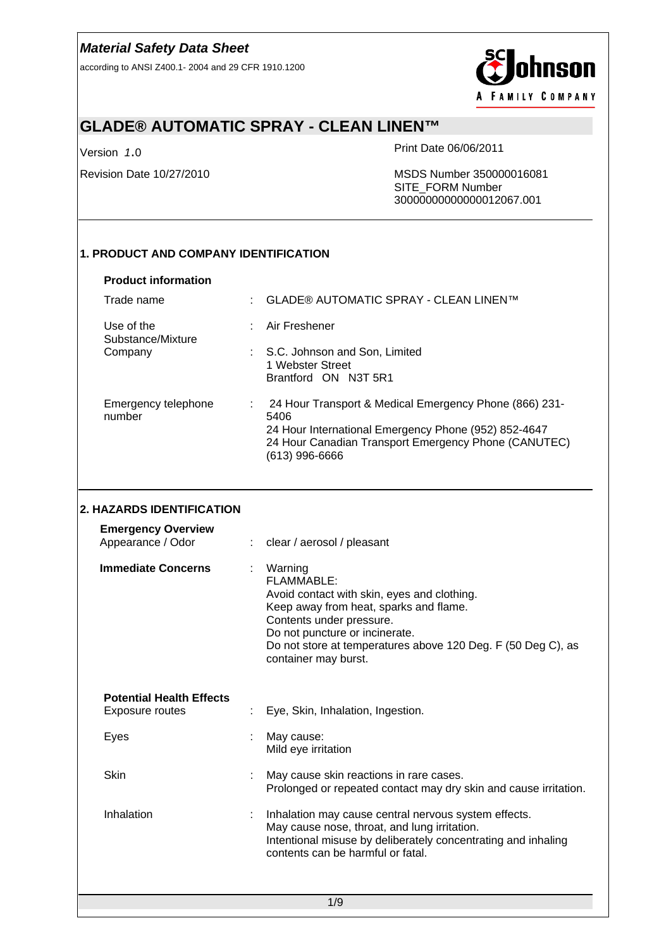according to ANSI Z400.1- 2004 and 29 CFR 1910.1200



# **GLADE® AUTOMATIC SPRAY - CLEAN LINEN™**

Version *1*.0 Print Date 06/06/2011

Revision Date 10/27/2010 **MSDS** Number 350000016081 SITE\_FORM Number 30000000000000012067.001

## **1. PRODUCT AND COMPANY IDENTIFICATION Product information**  Trade name : GLADE® AUTOMATIC SPRAY - CLEAN LINEN™ Use of the Substance/Mixture : Air Freshener Company : S.C. Johnson and Son, Limited 1 Webster Street Brantford ON N3T 5R1 Emergency telephone number : 24 Hour Transport & Medical Emergency Phone (866) 231- 5406 24 Hour International Emergency Phone (952) 852-4647 24 Hour Canadian Transport Emergency Phone (CANUTEC) (613) 996-6666 **2. HAZARDS IDENTIFICATION Emergency Overview** Appearance / Odor : clear / aerosol / pleasant **Immediate Concerns** : Warning FLAMMABLE: Avoid contact with skin, eyes and clothing. Keep away from heat, sparks and flame. Contents under pressure. Do not puncture or incinerate. Do not store at temperatures above 120 Deg. F (50 Deg C), as container may burst. **Potential Health Effects**  Exposure routes : Eye, Skin, Inhalation, Ingestion. Eyes : May cause: Mild eye irritation Skin : May cause skin reactions in rare cases. Prolonged or repeated contact may dry skin and cause irritation. Inhalation : Inhalation may cause central nervous system effects. May cause nose, throat, and lung irritation. Intentional misuse by deliberately concentrating and inhaling contents can be harmful or fatal.

1/9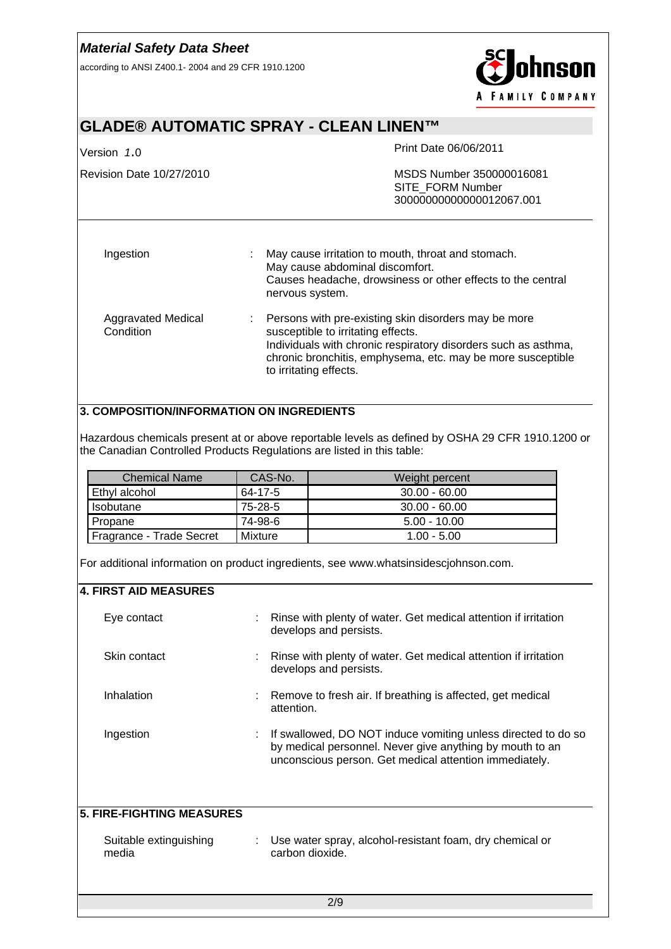according to ANSI Z400.1- 2004 and 29 CFR 1910.1200



## **GLADE® AUTOMATIC SPRAY - CLEAN LINEN™**

Version *1*.0 Print Date 06/06/2011

Revision Date 10/27/2010 MSDS Number 350000016081 SITE\_FORM Number 30000000000000012067.001 Ingestion : May cause irritation to mouth, throat and stomach. May cause abdominal discomfort. Causes headache, drowsiness or other effects to the central nervous system. Aggravated Medical : Persons with pre-existing skin disorders may be more

| Aggravated Medical<br>Condition | $\therefore$ Persons with pre-existing skin disorders may be more<br>susceptible to irritating effects.<br>Individuals with chronic respiratory disorders such as asthma,<br>chronic bronchitis, emphysema, etc. may be more susceptible<br>to irritating effects. |
|---------------------------------|--------------------------------------------------------------------------------------------------------------------------------------------------------------------------------------------------------------------------------------------------------------------|
|                                 |                                                                                                                                                                                                                                                                    |

### **3. COMPOSITION/INFORMATION ON INGREDIENTS**

Hazardous chemicals present at or above reportable levels as defined by OSHA 29 CFR 1910.1200 or the Canadian Controlled Products Regulations are listed in this table:

| <b>Chemical Name</b>     | CAS-No. | Weight percent  |
|--------------------------|---------|-----------------|
| Ethyl alcohol            | 64-17-5 | $30.00 - 60.00$ |
| <b>Isobutane</b>         | 75-28-5 | $30.00 - 60.00$ |
| Propane                  | 74-98-6 | $5.00 - 10.00$  |
| Fragrance - Trade Secret | Mixture | $1.00 - 5.00$   |

For additional information on product ingredients, see www.whatsinsidescjohnson.com.

| <b>4. FIRST AID MEASURES</b>             |                                                                                                                                                                                     |
|------------------------------------------|-------------------------------------------------------------------------------------------------------------------------------------------------------------------------------------|
| Eye contact                              | Rinse with plenty of water. Get medical attention if irritation<br>develops and persists.                                                                                           |
| Skin contact                             | Rinse with plenty of water. Get medical attention if irritation<br>develops and persists.                                                                                           |
| Inhalation                               | Remove to fresh air. If breathing is affected, get medical<br>attention.                                                                                                            |
| Ingestion                                | If swallowed, DO NOT induce vomiting unless directed to do so<br>by medical personnel. Never give anything by mouth to an<br>unconscious person. Get medical attention immediately. |
| $F(RF, F(A), F(R), A, H(F, A), R, F(A))$ |                                                                                                                                                                                     |

#### **5. FIRE-FIGHTING MEASURES**

| Suitable extinguishing | : Use water spray, alcohol-resistant foam, dry chemical or |
|------------------------|------------------------------------------------------------|
| media                  | carbon dioxide.                                            |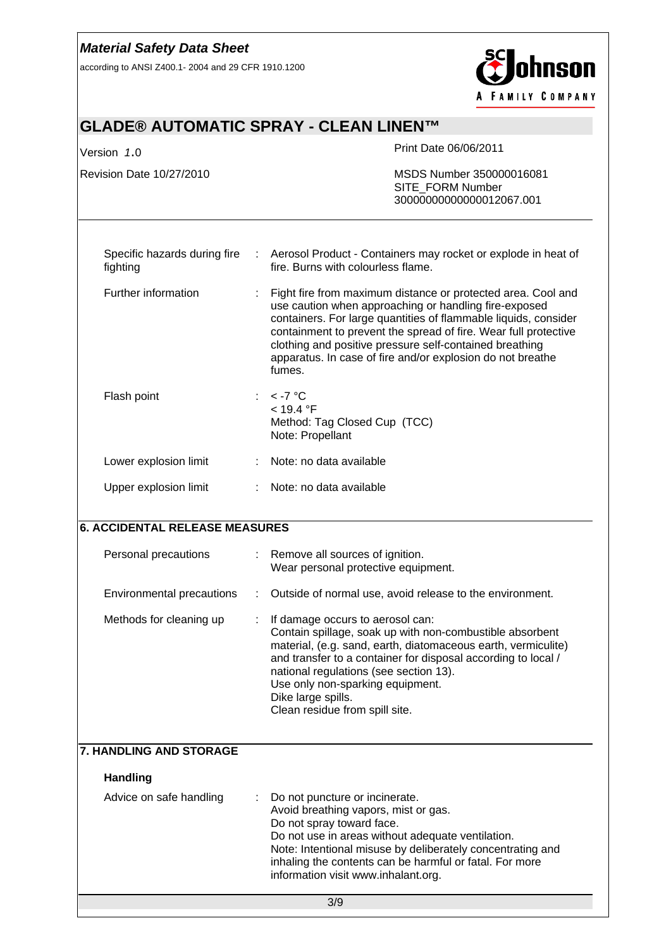according to ANSI Z400.1- 2004 and 29 CFR 1910.1200



| Version 1.0                              | Print Date 06/06/2011                                                                                                                                                                                                                                                                                                                                                                          |
|------------------------------------------|------------------------------------------------------------------------------------------------------------------------------------------------------------------------------------------------------------------------------------------------------------------------------------------------------------------------------------------------------------------------------------------------|
| Revision Date 10/27/2010                 | MSDS Number 350000016081<br>SITE_FORM Number<br>30000000000000012067.001                                                                                                                                                                                                                                                                                                                       |
| Specific hazards during fire<br>fighting | Aerosol Product - Containers may rocket or explode in heat of<br>fire. Burns with colourless flame.                                                                                                                                                                                                                                                                                            |
| Further information                      | Fight fire from maximum distance or protected area. Cool and<br>use caution when approaching or handling fire-exposed<br>containers. For large quantities of flammable liquids, consider<br>containment to prevent the spread of fire. Wear full protective<br>clothing and positive pressure self-contained breathing<br>apparatus. In case of fire and/or explosion do not breathe<br>fumes. |
| Flash point                              | $\lt$ -7 °C<br>< 19.4 °F<br>Method: Tag Closed Cup (TCC)<br>Note: Propellant                                                                                                                                                                                                                                                                                                                   |
| Lower explosion limit                    | Note: no data available                                                                                                                                                                                                                                                                                                                                                                        |
| Upper explosion limit                    | Note: no data available                                                                                                                                                                                                                                                                                                                                                                        |
|                                          |                                                                                                                                                                                                                                                                                                                                                                                                |
| <b>6. ACCIDENTAL RELEASE MEASURES</b>    |                                                                                                                                                                                                                                                                                                                                                                                                |
| Personal precautions                     | Remove all sources of ignition.<br>Wear personal protective equipment.                                                                                                                                                                                                                                                                                                                         |
| Environmental precautions                | Outside of normal use, avoid release to the environment.<br>÷                                                                                                                                                                                                                                                                                                                                  |
| Methods for cleaning up                  | If damage occurs to aerosol can:<br>Contain spillage, soak up with non-combustible absorbent<br>material, (e.g. sand, earth, diatomaceous earth, vermiculite)<br>and transfer to a container for disposal according to local /<br>national regulations (see section 13).<br>Use only non-sparking equipment.<br>Dike large spills.<br>Clean residue from spill site.                           |
| <b>7. HANDLING AND STORAGE</b>           |                                                                                                                                                                                                                                                                                                                                                                                                |
| <b>Handling</b>                          |                                                                                                                                                                                                                                                                                                                                                                                                |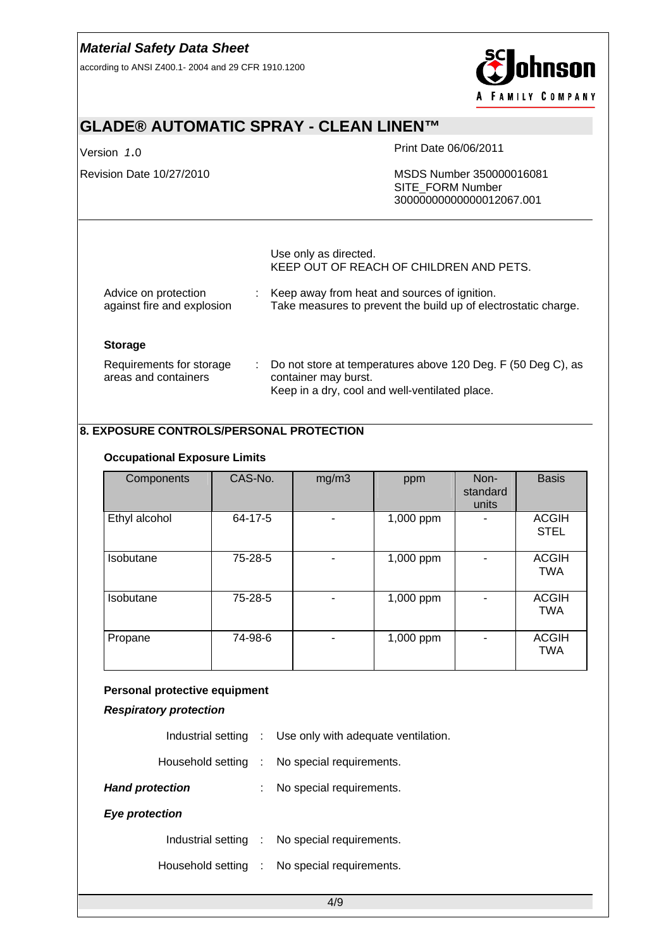according to ANSI Z400.1- 2004 and 29 CFR 1910.1200



## **GLADE® AUTOMATIC SPRAY - CLEAN LINEN™**

Version *1*.0 Print Date 06/06/2011

Revision Date 10/27/2010 MSDS Number 350000016081 SITE\_FORM Number 30000000000000012067.001

| Use only as directed.                   |  |
|-----------------------------------------|--|
| KEEP OUT OF REACH OF CHILDREN AND PETS. |  |

| Advice on protection<br>against fire and explosion | : Keep away from heat and sources of ignition.<br>Take measures to prevent the build up of electrostatic charge. |
|----------------------------------------------------|------------------------------------------------------------------------------------------------------------------|
|                                                    |                                                                                                                  |

#### **Storage**

| Requirements for storage | $\therefore$ Do not store at temperatures above 120 Deg. F (50 Deg C), as |
|--------------------------|---------------------------------------------------------------------------|
| areas and containers     | container may burst.                                                      |
|                          | Keep in a dry, cool and well-ventilated place.                            |

### **8. EXPOSURE CONTROLS/PERSONAL PROTECTION**

#### **Occupational Exposure Limits**

| Components    | CAS-No. | mg/m3 | ppm       | Non-<br>standard<br>units | <b>Basis</b>                |
|---------------|---------|-------|-----------|---------------------------|-----------------------------|
| Ethyl alcohol | 64-17-5 |       | 1,000 ppm |                           | <b>ACGIH</b><br><b>STEL</b> |
| Isobutane     | 75-28-5 |       | 1,000 ppm |                           | <b>ACGIH</b><br><b>TWA</b>  |
| Isobutane     | 75-28-5 |       | 1,000 ppm |                           | <b>ACGIH</b><br><b>TWA</b>  |
| Propane       | 74-98-6 |       | 1,000 ppm |                           | <b>ACGIH</b><br><b>TWA</b>  |

#### **Personal protective equipment**

#### *Respiratory protection*

|                        |  | Industrial setting : Use only with adequate ventilation. |
|------------------------|--|----------------------------------------------------------|
|                        |  | Household setting : No special requirements.             |
| <b>Hand protection</b> |  | No special requirements.                                 |
| <b>Eye protection</b>  |  |                                                          |
|                        |  | Industrial setting : No special requirements.            |
|                        |  | Household setting : No special requirements.             |
|                        |  |                                                          |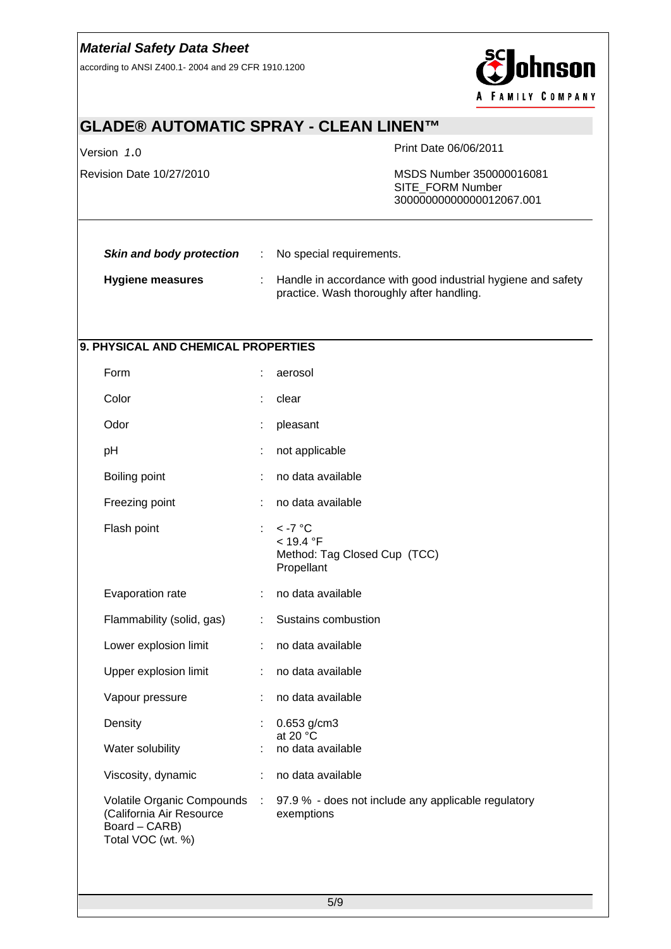according to ANSI Z400.1- 2004 and 29 CFR 1910.1200



# **GLADE® AUTOMATIC SPRAY - CLEAN LINEN™**

Version *1*.0 Print Date 06/06/2011

Revision Date 10/27/2010 MSDS Number 350000016081 SITE\_FORM Number 30000000000000012067.001

| Skin and body protection | : No special requirements.                                                                                  |
|--------------------------|-------------------------------------------------------------------------------------------------------------|
| <b>Hygiene measures</b>  | : Handle in accordance with good industrial hygiene and safety<br>practice. Wash thoroughly after handling. |

### **9. PHYSICAL AND CHEMICAL PROPERTIES**

| Form                                                           | t  | aerosol                                                                                        |
|----------------------------------------------------------------|----|------------------------------------------------------------------------------------------------|
| Color                                                          |    | clear                                                                                          |
| Odor                                                           | t  | pleasant                                                                                       |
| pH                                                             | t  | not applicable                                                                                 |
| Boiling point                                                  | ÷  | no data available                                                                              |
| Freezing point                                                 | t, | no data available                                                                              |
| Flash point                                                    |    | $\lt$ -7 °C<br>< 19.4 °F<br>Method: Tag Closed Cup (TCC)<br>Propellant                         |
| Evaporation rate                                               | ÷  | no data available                                                                              |
| Flammability (solid, gas)                                      | ÷  | Sustains combustion                                                                            |
| Lower explosion limit                                          | ÷  | no data available                                                                              |
| Upper explosion limit                                          | ÷  | no data available                                                                              |
| Vapour pressure                                                | ÷  | no data available                                                                              |
| Density                                                        |    | $0.653$ g/cm3<br>at 20 $\degree$ C                                                             |
| Water solubility                                               |    | no data available                                                                              |
| Viscosity, dynamic                                             | ÷  | no data available                                                                              |
| (California Air Resource<br>Board - CARB)<br>Total VOC (wt. %) |    | Volatile Organic Compounds : 97.9 % - does not include any applicable regulatory<br>exemptions |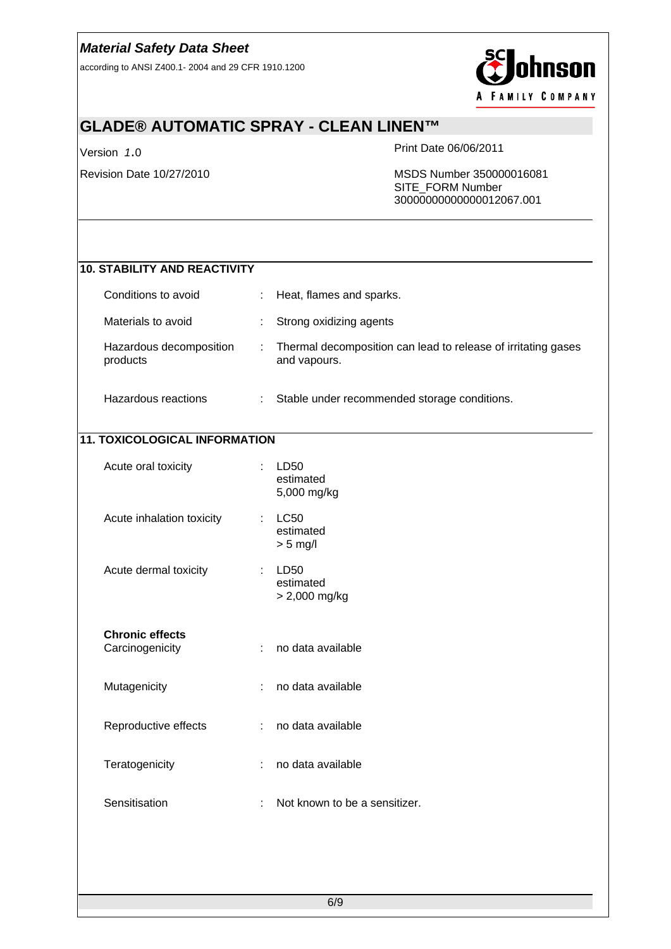according to ANSI Z400.1- 2004 and 29 CFR 1910.1200



# **GLADE® AUTOMATIC SPRAY - CLEAN LINEN™**

Version *1*.0 Print Date 06/06/2011

| <b>10. STABILITY AND REACTIVITY</b>       |                                                                               |  |  |  |  |
|-------------------------------------------|-------------------------------------------------------------------------------|--|--|--|--|
| Conditions to avoid                       | Heat, flames and sparks.<br>t                                                 |  |  |  |  |
| Materials to avoid                        | Strong oxidizing agents                                                       |  |  |  |  |
| Hazardous decomposition<br>products       | Thermal decomposition can lead to release of irritating gases<br>and vapours. |  |  |  |  |
| Hazardous reactions                       | Stable under recommended storage conditions.<br>÷.                            |  |  |  |  |
| <b>11. TOXICOLOGICAL INFORMATION</b>      |                                                                               |  |  |  |  |
| Acute oral toxicity                       | LD50<br>÷<br>estimated<br>5,000 mg/kg                                         |  |  |  |  |
| Acute inhalation toxicity                 | <b>LC50</b><br>÷<br>estimated<br>$> 5$ mg/l                                   |  |  |  |  |
| Acute dermal toxicity                     | LD50<br>estimated<br>> 2,000 mg/kg                                            |  |  |  |  |
| <b>Chronic effects</b><br>Carcinogenicity | no data available<br>÷                                                        |  |  |  |  |
| Mutagenicity                              | no data available<br>÷                                                        |  |  |  |  |
| Reproductive effects                      | no data available<br>÷.                                                       |  |  |  |  |
| Teratogenicity                            | no data available                                                             |  |  |  |  |
| Sensitisation                             | Not known to be a sensitizer.                                                 |  |  |  |  |
|                                           |                                                                               |  |  |  |  |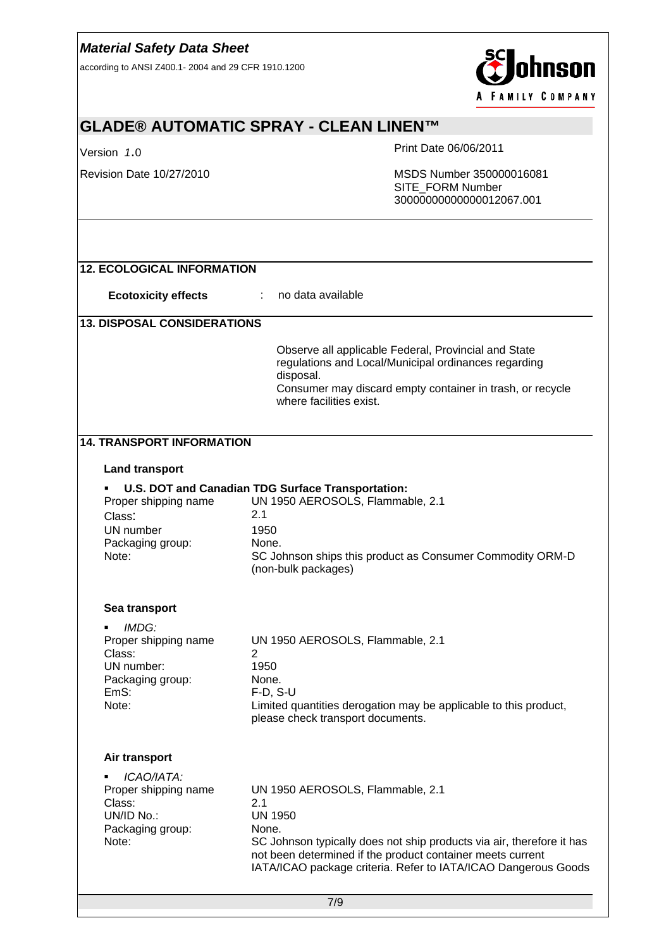according to ANSI Z400.1- 2004 and 29 CFR 1910.1200



# **GLADE® AUTOMATIC SPRAY - CLEAN LINEN™**

Version *1*.0 Print Date 06/06/2011

| <b>12. ECOLOGICAL INFORMATION</b>                                                               |                                                                                                                                                                                                                                                                             |  |  |  |  |  |
|-------------------------------------------------------------------------------------------------|-----------------------------------------------------------------------------------------------------------------------------------------------------------------------------------------------------------------------------------------------------------------------------|--|--|--|--|--|
| <b>Ecotoxicity effects</b>                                                                      | no data available<br>÷                                                                                                                                                                                                                                                      |  |  |  |  |  |
| <b>13. DISPOSAL CONSIDERATIONS</b>                                                              |                                                                                                                                                                                                                                                                             |  |  |  |  |  |
|                                                                                                 | Observe all applicable Federal, Provincial and State<br>regulations and Local/Municipal ordinances regarding<br>disposal.<br>Consumer may discard empty container in trash, or recycle<br>where facilities exist.                                                           |  |  |  |  |  |
| <b>14. TRANSPORT INFORMATION</b>                                                                |                                                                                                                                                                                                                                                                             |  |  |  |  |  |
| <b>Land transport</b>                                                                           |                                                                                                                                                                                                                                                                             |  |  |  |  |  |
| Proper shipping name<br>Class:<br>UN number<br>Packaging group:<br>Note:                        | U.S. DOT and Canadian TDG Surface Transportation:<br>UN 1950 AEROSOLS, Flammable, 2.1<br>2.1<br>1950<br>None.<br>SC Johnson ships this product as Consumer Commodity ORM-D<br>(non-bulk packages)                                                                           |  |  |  |  |  |
| Sea transport                                                                                   |                                                                                                                                                                                                                                                                             |  |  |  |  |  |
| IMDG:<br>٠<br>Proper shipping name<br>Class:<br>UN number:<br>Packaging group:<br>EmS:<br>Note: | UN 1950 AEROSOLS, Flammable, 2.1<br>2<br>1950<br>None.<br>$F-D$ , S-U<br>Limited quantities derogation may be applicable to this product,<br>please check transport documents.                                                                                              |  |  |  |  |  |
| Air transport                                                                                   |                                                                                                                                                                                                                                                                             |  |  |  |  |  |
| ICAO/IATA:<br>Proper shipping name<br>Class:<br>UN/ID No.:<br>Packaging group:<br>Note:         | UN 1950 AEROSOLS, Flammable, 2.1<br>2.1<br><b>UN 1950</b><br>None.<br>SC Johnson typically does not ship products via air, therefore it has<br>not been determined if the product container meets current<br>IATA/ICAO package criteria. Refer to IATA/ICAO Dangerous Goods |  |  |  |  |  |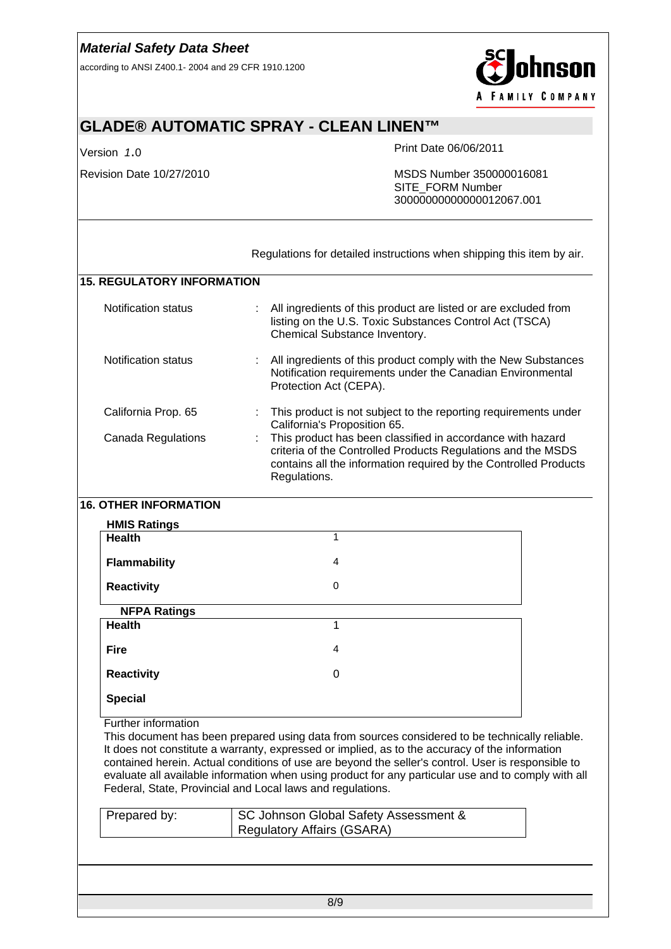according to ANSI Z400.1- 2004 and 29 CFR 1910.1200



# **GLADE® AUTOMATIC SPRAY - CLEAN LINEN™**

Version *1*.0 Print Date 06/06/2011

|                                   | Regulations for detailed instructions when shipping this item by air.                                                                                                                                                                                                                                                                                                                                                                                                                              |                                                                                                                                                        |                                                                                                                                                                                                                |  |  |  |
|-----------------------------------|----------------------------------------------------------------------------------------------------------------------------------------------------------------------------------------------------------------------------------------------------------------------------------------------------------------------------------------------------------------------------------------------------------------------------------------------------------------------------------------------------|--------------------------------------------------------------------------------------------------------------------------------------------------------|----------------------------------------------------------------------------------------------------------------------------------------------------------------------------------------------------------------|--|--|--|
| <b>15. REGULATORY INFORMATION</b> |                                                                                                                                                                                                                                                                                                                                                                                                                                                                                                    |                                                                                                                                                        |                                                                                                                                                                                                                |  |  |  |
|                                   |                                                                                                                                                                                                                                                                                                                                                                                                                                                                                                    |                                                                                                                                                        |                                                                                                                                                                                                                |  |  |  |
|                                   | <b>Notification status</b>                                                                                                                                                                                                                                                                                                                                                                                                                                                                         |                                                                                                                                                        | All ingredients of this product are listed or are excluded from<br>listing on the U.S. Toxic Substances Control Act (TSCA)<br>Chemical Substance Inventory.                                                    |  |  |  |
|                                   | Notification status                                                                                                                                                                                                                                                                                                                                                                                                                                                                                | All ingredients of this product comply with the New Substances<br>Notification requirements under the Canadian Environmental<br>Protection Act (CEPA). |                                                                                                                                                                                                                |  |  |  |
|                                   | California Prop. 65                                                                                                                                                                                                                                                                                                                                                                                                                                                                                |                                                                                                                                                        | This product is not subject to the reporting requirements under<br>California's Proposition 65.                                                                                                                |  |  |  |
|                                   | <b>Canada Regulations</b>                                                                                                                                                                                                                                                                                                                                                                                                                                                                          |                                                                                                                                                        | This product has been classified in accordance with hazard<br>criteria of the Controlled Products Regulations and the MSDS<br>contains all the information required by the Controlled Products<br>Regulations. |  |  |  |
|                                   | <b>16. OTHER INFORMATION</b>                                                                                                                                                                                                                                                                                                                                                                                                                                                                       |                                                                                                                                                        |                                                                                                                                                                                                                |  |  |  |
|                                   | <b>HMIS Ratings</b>                                                                                                                                                                                                                                                                                                                                                                                                                                                                                |                                                                                                                                                        |                                                                                                                                                                                                                |  |  |  |
|                                   | <b>Health</b>                                                                                                                                                                                                                                                                                                                                                                                                                                                                                      |                                                                                                                                                        | $\mathbf{1}$                                                                                                                                                                                                   |  |  |  |
|                                   | <b>Flammability</b>                                                                                                                                                                                                                                                                                                                                                                                                                                                                                |                                                                                                                                                        | 4                                                                                                                                                                                                              |  |  |  |
|                                   | 0<br><b>Reactivity</b>                                                                                                                                                                                                                                                                                                                                                                                                                                                                             |                                                                                                                                                        |                                                                                                                                                                                                                |  |  |  |
|                                   | <b>NFPA Ratings</b>                                                                                                                                                                                                                                                                                                                                                                                                                                                                                |                                                                                                                                                        |                                                                                                                                                                                                                |  |  |  |
|                                   | <b>Health</b><br>1                                                                                                                                                                                                                                                                                                                                                                                                                                                                                 |                                                                                                                                                        |                                                                                                                                                                                                                |  |  |  |
|                                   | <b>Fire</b><br>4                                                                                                                                                                                                                                                                                                                                                                                                                                                                                   |                                                                                                                                                        |                                                                                                                                                                                                                |  |  |  |
|                                   | <b>Reactivity</b><br>0                                                                                                                                                                                                                                                                                                                                                                                                                                                                             |                                                                                                                                                        |                                                                                                                                                                                                                |  |  |  |
|                                   | <b>Special</b>                                                                                                                                                                                                                                                                                                                                                                                                                                                                                     |                                                                                                                                                        |                                                                                                                                                                                                                |  |  |  |
|                                   | Further information<br>This document has been prepared using data from sources considered to be technically reliable.<br>It does not constitute a warranty, expressed or implied, as to the accuracy of the information<br>contained herein. Actual conditions of use are beyond the seller's control. User is responsible to<br>evaluate all available information when using product for any particular use and to comply with all<br>Federal, State, Provincial and Local laws and regulations. |                                                                                                                                                        |                                                                                                                                                                                                                |  |  |  |
|                                   | Prepared by:<br>SC Johnson Global Safety Assessment &<br><b>Regulatory Affairs (GSARA)</b>                                                                                                                                                                                                                                                                                                                                                                                                         |                                                                                                                                                        |                                                                                                                                                                                                                |  |  |  |
|                                   |                                                                                                                                                                                                                                                                                                                                                                                                                                                                                                    |                                                                                                                                                        |                                                                                                                                                                                                                |  |  |  |
|                                   |                                                                                                                                                                                                                                                                                                                                                                                                                                                                                                    |                                                                                                                                                        |                                                                                                                                                                                                                |  |  |  |
| 8/9                               |                                                                                                                                                                                                                                                                                                                                                                                                                                                                                                    |                                                                                                                                                        |                                                                                                                                                                                                                |  |  |  |
|                                   |                                                                                                                                                                                                                                                                                                                                                                                                                                                                                                    |                                                                                                                                                        |                                                                                                                                                                                                                |  |  |  |